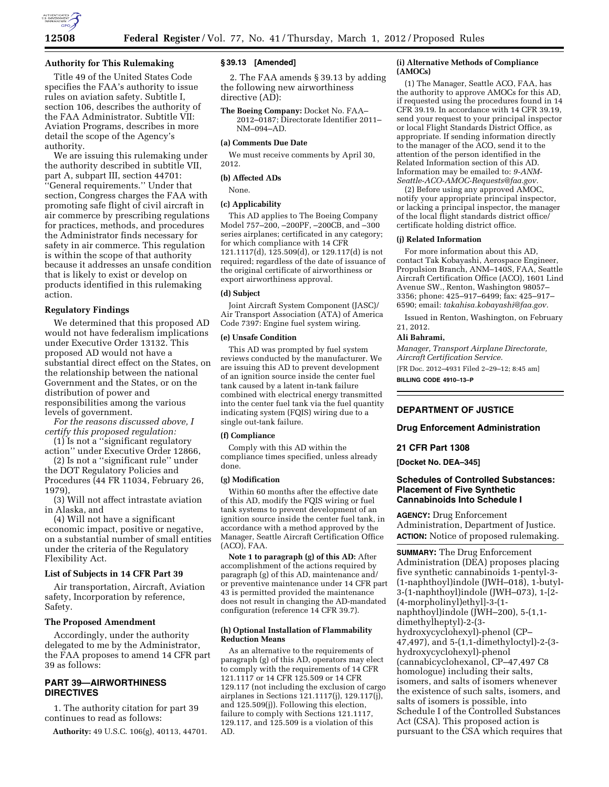## **Authority for This Rulemaking**

Title 49 of the United States Code specifies the FAA's authority to issue rules on aviation safety. Subtitle I, section 106, describes the authority of the FAA Administrator. Subtitle VII: Aviation Programs, describes in more detail the scope of the Agency's authority.

We are issuing this rulemaking under the authority described in subtitle VII, part A, subpart III, section 44701: ''General requirements.'' Under that section, Congress charges the FAA with promoting safe flight of civil aircraft in air commerce by prescribing regulations for practices, methods, and procedures the Administrator finds necessary for safety in air commerce. This regulation is within the scope of that authority because it addresses an unsafe condition that is likely to exist or develop on products identified in this rulemaking action.

## **Regulatory Findings**

We determined that this proposed AD would not have federalism implications under Executive Order 13132. This proposed AD would not have a substantial direct effect on the States, on the relationship between the national Government and the States, or on the distribution of power and responsibilities among the various levels of government.

*For the reasons discussed above, I certify this proposed regulation:* 

(1) Is not a ''significant regulatory action'' under Executive Order 12866,

(2) Is not a ''significant rule'' under the DOT Regulatory Policies and Procedures (44 FR 11034, February 26, 1979),

(3) Will not affect intrastate aviation in Alaska, and

(4) Will not have a significant economic impact, positive or negative, on a substantial number of small entities under the criteria of the Regulatory Flexibility Act.

### **List of Subjects in 14 CFR Part 39**

Air transportation, Aircraft, Aviation safety, Incorporation by reference, Safety.

### **The Proposed Amendment**

Accordingly, under the authority delegated to me by the Administrator, the FAA proposes to amend 14 CFR part 39 as follows:

## **PART 39—AIRWORTHINESS DIRECTIVES**

1. The authority citation for part 39 continues to read as follows:

**Authority:** 49 U.S.C. 106(g), 40113, 44701.

### **§ 39.13 [Amended]**

2. The FAA amends § 39.13 by adding the following new airworthiness directive (AD):

**The Boeing Company:** Docket No. FAA– 2012–0187; Directorate Identifier 2011– NM–094–AD.

#### **(a) Comments Due Date**

We must receive comments by April 30, 2012.

#### **(b) Affected ADs**

None.

#### **(c) Applicability**

This AD applies to The Boeing Company Model 757–200, –200PF, –200CB, and –300 series airplanes; certificated in any category; for which compliance with 14 CFR  $121.1117(d), 125.509(d), or 129.117(d)$  is not required; regardless of the date of issuance of the original certificate of airworthiness or export airworthiness approval.

## **(d) Subject**

Joint Aircraft System Component (JASC)/ Air Transport Association (ATA) of America Code 7397: Engine fuel system wiring.

## **(e) Unsafe Condition**

This AD was prompted by fuel system reviews conducted by the manufacturer. We are issuing this AD to prevent development of an ignition source inside the center fuel tank caused by a latent in-tank failure combined with electrical energy transmitted into the center fuel tank via the fuel quantity indicating system (FQIS) wiring due to a single out-tank failure.

### **(f) Compliance**

Comply with this AD within the compliance times specified, unless already done.

### **(g) Modification**

Within 60 months after the effective date of this AD, modify the FQIS wiring or fuel tank systems to prevent development of an ignition source inside the center fuel tank, in accordance with a method approved by the Manager, Seattle Aircraft Certification Office (ACO), FAA.

**Note 1 to paragraph (g) of this AD:** After accomplishment of the actions required by paragraph (g) of this AD, maintenance and/ or preventive maintenance under 14 CFR part 43 is permitted provided the maintenance does not result in changing the AD-mandated configuration (reference 14 CFR 39.7).

## **(h) Optional Installation of Flammability Reduction Means**

As an alternative to the requirements of paragraph (g) of this AD, operators may elect to comply with the requirements of 14 CFR 121.1117 or 14 CFR 125.509 or 14 CFR 129.117 (not including the exclusion of cargo airplanes in Sections 121.1117(j), 129.117(j), and 125.509(j)). Following this election, failure to comply with Sections 121.1117, 129.117, and 125.509 is a violation of this AD.

### **(i) Alternative Methods of Compliance (AMOCs)**

(1) The Manager, Seattle ACO, FAA, has the authority to approve AMOCs for this AD, if requested using the procedures found in 14 CFR 39.19. In accordance with 14 CFR 39.19, send your request to your principal inspector or local Flight Standards District Office, as appropriate. If sending information directly to the manager of the ACO, send it to the attention of the person identified in the Related Information section of this AD. Information may be emailed to: *[9-ANM-](mailto:9-ANM-Seattle-ACO-AMOC-Requests@faa.gov)[Seattle-ACO-AMOC-Requests@faa.gov.](mailto:9-ANM-Seattle-ACO-AMOC-Requests@faa.gov)* 

(2) Before using any approved AMOC, notify your appropriate principal inspector, or lacking a principal inspector, the manager of the local flight standards district office/ certificate holding district office.

### **(j) Related Information**

For more information about this AD, contact Tak Kobayashi, Aerospace Engineer, Propulsion Branch, ANM–140S, FAA, Seattle Aircraft Certification Office (ACO), 1601 Lind Avenue SW., Renton, Washington 98057– 3356; phone: 425–917–6499; fax: 425–917– 6590; email: *[takahisa.kobayashi@faa.gov.](mailto:takahisa.kobayashi@faa.gov)* 

Issued in Renton, Washington, on February 21, 2012.

#### **Ali Bahrami,**

*Manager, Transport Airplane Directorate, Aircraft Certification Service.* 

[FR Doc. 2012–4931 Filed 2–29–12; 8:45 am]

**BILLING CODE 4910–13–P** 

## **DEPARTMENT OF JUSTICE**

### **Drug Enforcement Administration**

#### **21 CFR Part 1308**

**[Docket No. DEA–345]** 

## **Schedules of Controlled Substances: Placement of Five Synthetic Cannabinoids Into Schedule I**

**AGENCY:** Drug Enforcement Administration, Department of Justice. **ACTION:** Notice of proposed rulemaking.

**SUMMARY:** The Drug Enforcement Administration (DEA) proposes placing five synthetic cannabinoids 1-pentyl-3- (1-naphthoyl)indole (JWH–018), 1-butyl-3-(1-naphthoyl)indole (JWH–073), 1-[2- (4-morpholinyl)ethyl]-3-(1 naphthoyl)indole (JWH–200), 5-(1,1 dimethylheptyl)-2-(3 hydroxycyclohexyl)-phenol (CP– 47,497), and 5-(1,1-dimethyloctyl)-2-(3 hydroxycyclohexyl)-phenol (cannabicyclohexanol, CP–47,497 C8 homologue) including their salts, isomers, and salts of isomers whenever the existence of such salts, isomers, and salts of isomers is possible, into Schedule I of the Controlled Substances Act (CSA). This proposed action is pursuant to the CSA which requires that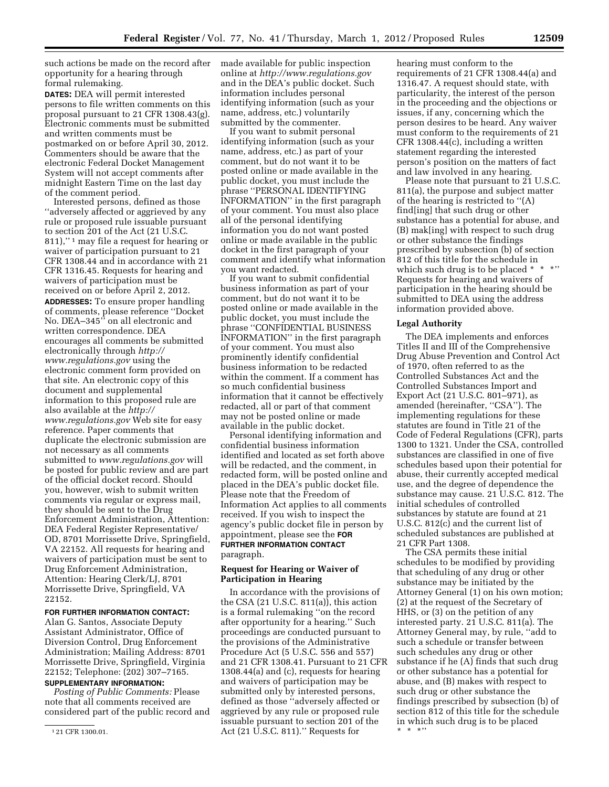such actions be made on the record after opportunity for a hearing through formal rulemaking.

**DATES:** DEA will permit interested persons to file written comments on this proposal pursuant to 21 CFR 1308.43(g). Electronic comments must be submitted and written comments must be postmarked on or before April 30, 2012. Commenters should be aware that the electronic Federal Docket Management System will not accept comments after midnight Eastern Time on the last day of the comment period.

Interested persons, defined as those ''adversely affected or aggrieved by any rule or proposed rule issuable pursuant to section 201 of the Act (21 U.S.C. 811),'' 1 may file a request for hearing or waiver of participation pursuant to 21 CFR 1308.44 and in accordance with 21 CFR 1316.45. Requests for hearing and waivers of participation must be received on or before April 2, 2012.

**ADDRESSES:** To ensure proper handling of comments, please reference ''Docket No. DEA–345'' on all electronic and written correspondence. DEA encourages all comments be submitted electronically through *[http://](http://www.regulations.gov) [www.regulations.gov](http://www.regulations.gov)* using the electronic comment form provided on that site. An electronic copy of this document and supplemental information to this proposed rule are also available at the *[http://](http://www.regulations.gov) [www.regulations.gov](http://www.regulations.gov)* Web site for easy reference. Paper comments that duplicate the electronic submission are not necessary as all comments submitted to *[www.regulations.gov](http://www.regulations.gov)* will be posted for public review and are part of the official docket record. Should you, however, wish to submit written comments via regular or express mail, they should be sent to the Drug Enforcement Administration, Attention: DEA Federal Register Representative/ OD, 8701 Morrissette Drive, Springfield, VA 22152. All requests for hearing and waivers of participation must be sent to Drug Enforcement Administration, Attention: Hearing Clerk/LJ, 8701 Morrissette Drive, Springfield, VA 22152.

## **FOR FURTHER INFORMATION CONTACT:**

Alan G. Santos, Associate Deputy Assistant Administrator, Office of Diversion Control, Drug Enforcement Administration; Mailing Address: 8701 Morrissette Drive, Springfield, Virginia 22152; Telephone: (202) 307–7165.

# **SUPPLEMENTARY INFORMATION:**

*Posting of Public Comments:* Please note that all comments received are considered part of the public record and made available for public inspection online at *<http://www.regulations.gov>*  and in the DEA's public docket. Such information includes personal identifying information (such as your name, address, etc.) voluntarily submitted by the commenter.

If you want to submit personal identifying information (such as your name, address, etc.) as part of your comment, but do not want it to be posted online or made available in the public docket, you must include the phrase ''PERSONAL IDENTIFYING INFORMATION'' in the first paragraph of your comment. You must also place all of the personal identifying information you do not want posted online or made available in the public docket in the first paragraph of your comment and identify what information you want redacted.

If you want to submit confidential business information as part of your comment, but do not want it to be posted online or made available in the public docket, you must include the phrase ''CONFIDENTIAL BUSINESS INFORMATION'' in the first paragraph of your comment. You must also prominently identify confidential business information to be redacted within the comment. If a comment has so much confidential business information that it cannot be effectively redacted, all or part of that comment may not be posted online or made available in the public docket.

Personal identifying information and confidential business information identified and located as set forth above will be redacted, and the comment, in redacted form, will be posted online and placed in the DEA's public docket file. Please note that the Freedom of Information Act applies to all comments received. If you wish to inspect the agency's public docket file in person by appointment, please see the **FOR FURTHER INFORMATION CONTACT** paragraph.

### **Request for Hearing or Waiver of Participation in Hearing**

In accordance with the provisions of the CSA (21 U.S.C. 811(a)), this action is a formal rulemaking ''on the record after opportunity for a hearing.'' Such proceedings are conducted pursuant to the provisions of the Administrative Procedure Act (5 U.S.C. 556 and 557) and 21 CFR 1308.41. Pursuant to 21 CFR 1308.44(a) and (c), requests for hearing and waivers of participation may be submitted only by interested persons, defined as those ''adversely affected or aggrieved by any rule or proposed rule issuable pursuant to section 201 of the Act (21 U.S.C. 811).'' Requests for

hearing must conform to the requirements of 21 CFR 1308.44(a) and 1316.47. A request should state, with particularity, the interest of the person in the proceeding and the objections or issues, if any, concerning which the person desires to be heard. Any waiver must conform to the requirements of 21 CFR 1308.44(c), including a written statement regarding the interested person's position on the matters of fact and law involved in any hearing.

Please note that pursuant to 21 U.S.C. 811(a), the purpose and subject matter of the hearing is restricted to ''(A) find[ing] that such drug or other substance has a potential for abuse, and (B) mak[ing] with respect to such drug or other substance the findings prescribed by subsection (b) of section 812 of this title for the schedule in which such drug is to be placed \* \* \*'' Requests for hearing and waivers of participation in the hearing should be submitted to DEA using the address information provided above.

#### **Legal Authority**

The DEA implements and enforces Titles II and III of the Comprehensive Drug Abuse Prevention and Control Act of 1970, often referred to as the Controlled Substances Act and the Controlled Substances Import and Export Act (21 U.S.C. 801–971), as amended (hereinafter, ''CSA''). The implementing regulations for these statutes are found in Title 21 of the Code of Federal Regulations (CFR), parts 1300 to 1321. Under the CSA, controlled substances are classified in one of five schedules based upon their potential for abuse, their currently accepted medical use, and the degree of dependence the substance may cause. 21 U.S.C. 812. The initial schedules of controlled substances by statute are found at 21 U.S.C. 812(c) and the current list of scheduled substances are published at 21 CFR Part 1308.

The CSA permits these initial schedules to be modified by providing that scheduling of any drug or other substance may be initiated by the Attorney General (1) on his own motion; (2) at the request of the Secretary of HHS, or (3) on the petition of any interested party. 21 U.S.C. 811(a). The Attorney General may, by rule, ''add to such a schedule or transfer between such schedules any drug or other substance if he (A) finds that such drug or other substance has a potential for abuse, and (B) makes with respect to such drug or other substance the findings prescribed by subsection (b) of section 812 of this title for the schedule in which such drug is to be placed \* \* \*''

<sup>1</sup> 21 CFR 1300.01.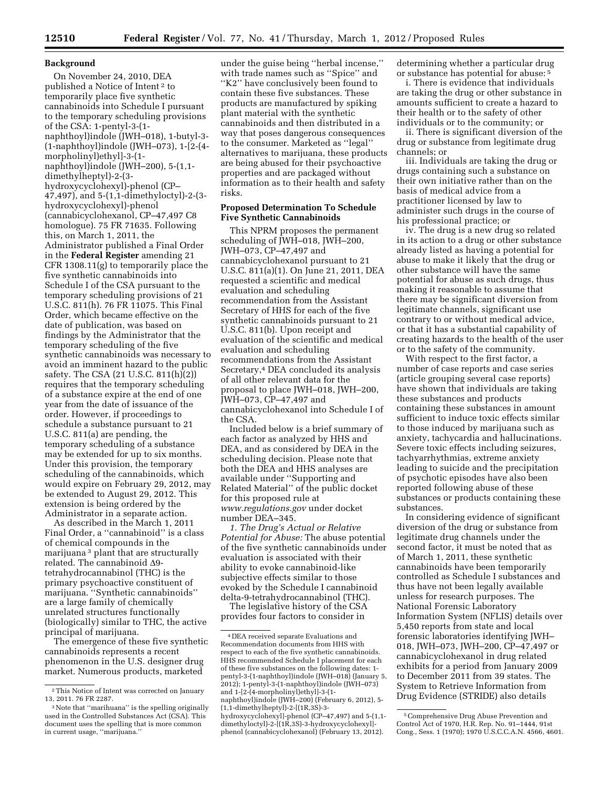## **Background**

On November 24, 2010, DEA published a Notice of Intent 2 to temporarily place five synthetic cannabinoids into Schedule I pursuant to the temporary scheduling provisions of the CSA: 1-pentyl-3-(1 naphthoyl)indole (JWH–018), 1-butyl-3- (1-naphthoyl)indole (JWH–073), 1-[2-(4 morpholinyl)ethyl]-3-(1 naphthoyl)indole (JWH–200), 5-(1,1 dimethylheptyl)-2-(3 hydroxycyclohexyl)-phenol (CP– 47,497), and 5-(1,1-dimethyloctyl)-2-(3 hydroxycyclohexyl)-phenol (cannabicyclohexanol, CP–47,497 C8 homologue). 75 FR 71635. Following this, on March 1, 2011, the Administrator published a Final Order in the **Federal Register** amending 21 CFR 1308.11(g) to temporarily place the five synthetic cannabinoids into Schedule I of the CSA pursuant to the temporary scheduling provisions of 21 U.S.C. 811(h). 76 FR 11075. This Final Order, which became effective on the date of publication, was based on findings by the Administrator that the temporary scheduling of the five synthetic cannabinoids was necessary to avoid an imminent hazard to the public safety. The CSA (21 U.S.C. 811(h)(2)) requires that the temporary scheduling of a substance expire at the end of one year from the date of issuance of the order. However, if proceedings to schedule a substance pursuant to 21 U.S.C. 811(a) are pending, the temporary scheduling of a substance may be extended for up to six months. Under this provision, the temporary scheduling of the cannabinoids, which would expire on February 29, 2012, may be extended to August 29, 2012. This extension is being ordered by the Administrator in a separate action.

As described in the March 1, 2011 Final Order, a ''cannabinoid'' is a class of chemical compounds in the marijuana 3 plant that are structurally related. The cannabinoid  $\Delta 9$ tetrahydrocannabinol (THC) is the primary psychoactive constituent of marijuana. ''Synthetic cannabinoids'' are a large family of chemically unrelated structures functionally (biologically) similar to THC, the active principal of marijuana.

The emergence of these five synthetic cannabinoids represents a recent phenomenon in the U.S. designer drug market. Numerous products, marketed

under the guise being ''herbal incense,'' with trade names such as ''Spice'' and ''K2'' have conclusively been found to contain these five substances. These products are manufactured by spiking plant material with the synthetic cannabinoids and then distributed in a way that poses dangerous consequences to the consumer. Marketed as ''legal'' alternatives to marijuana, these products are being abused for their psychoactive properties and are packaged without information as to their health and safety risks.

### **Proposed Determination To Schedule Five Synthetic Cannabinoids**

This NPRM proposes the permanent scheduling of JWH–018, JWH–200, JWH–073, CP–47,497 and cannabicyclohexanol pursuant to 21 U.S.C. 811(a)(1). On June 21, 2011, DEA requested a scientific and medical evaluation and scheduling recommendation from the Assistant Secretary of HHS for each of the five synthetic cannabinoids pursuant to 21 U.S.C. 811(b). Upon receipt and evaluation of the scientific and medical evaluation and scheduling recommendations from the Assistant Secretary,4 DEA concluded its analysis of all other relevant data for the proposal to place JWH–018, JWH–200, JWH–073, CP–47,497 and cannabicyclohexanol into Schedule I of the CSA.

Included below is a brief summary of each factor as analyzed by HHS and DEA, and as considered by DEA in the scheduling decision. Please note that both the DEA and HHS analyses are available under ''Supporting and Related Material'' of the public docket for this proposed rule at *[www.regulations.gov](http://www.regulations.gov)* under docket number DEA–345.

*1. The Drug's Actual or Relative Potential for Abuse:* The abuse potential of the five synthetic cannabinoids under evaluation is associated with their ability to evoke cannabinoid-like subjective effects similar to those evoked by the Schedule I cannabinoid delta-9-tetrahydrocannabinol (THC).

The legislative history of the CSA provides four factors to consider in

naphthoyl)indole (JWH–200) (February 6, 2012), 5- (1,1-dimethylheptyl)-2-[(1R,3S)-3 hydroxycyclohexyl]-phenol (CP–47,497) and 5-(1,1-

dimethyloctyl)-2-[(1R,3S)-3-hydroxycyclohexyl] phenol (cannabicyclohexanol) (February 13, 2012). determining whether a particular drug or substance has potential for abuse: 5

i. There is evidence that individuals are taking the drug or other substance in amounts sufficient to create a hazard to their health or to the safety of other individuals or to the community; or

ii. There is significant diversion of the drug or substance from legitimate drug channels; or

iii. Individuals are taking the drug or drugs containing such a substance on their own initiative rather than on the basis of medical advice from a practitioner licensed by law to administer such drugs in the course of his professional practice; or

iv. The drug is a new drug so related in its action to a drug or other substance already listed as having a potential for abuse to make it likely that the drug or other substance will have the same potential for abuse as such drugs, thus making it reasonable to assume that there may be significant diversion from legitimate channels, significant use contrary to or without medical advice, or that it has a substantial capability of creating hazards to the health of the user or to the safety of the community.

With respect to the first factor, a number of case reports and case series (article grouping several case reports) have shown that individuals are taking these substances and products containing these substances in amount sufficient to induce toxic effects similar to those induced by marijuana such as anxiety, tachycardia and hallucinations. Severe toxic effects including seizures, tachyarrhythmias, extreme anxiety leading to suicide and the precipitation of psychotic episodes have also been reported following abuse of these substances or products containing these substances.

In considering evidence of significant diversion of the drug or substance from legitimate drug channels under the second factor, it must be noted that as of March 1, 2011, these synthetic cannabinoids have been temporarily controlled as Schedule I substances and thus have not been legally available unless for research purposes. The National Forensic Laboratory Information System (NFLIS) details over 5,450 reports from state and local forensic laboratories identifying JWH– 018, JWH–073, JWH–200, CP–47,497 or cannabicyclohexanol in drug related exhibits for a period from January 2009 to December 2011 from 39 states. The System to Retrieve Information from Drug Evidence (STRIDE) also details

<sup>2</sup>This Notice of Intent was corrected on January 13, 2011. 76 FR 2287.

<sup>3</sup>Note that ''marihuana'' is the spelling originally used in the Controlled Substances Act (CSA). This document uses the spelling that is more common in current usage, ''marijuana.''

<sup>4</sup> DEA received separate Evaluations and Recommendation documents from HHS with respect to each of the five synthetic cannabinoids. HHS recommended Schedule I placement for each of these five substances on the following dates: 1 pentyl-3-(1-naphthoyl)indole (JWH–018) (January 5, 2012); 1-pentyl-3-(1-naphthoyl)indole (JWH–073) and 1-[2-(4-morpholinyl)ethyl]-3-(1-

<sup>5</sup>Comprehensive Drug Abuse Prevention and Control Act of 1970, H.R. Rep. No. 91–1444, 91st Cong., Sess. 1 (1970); 1970 U.S.C.C.A.N. 4566, 4601.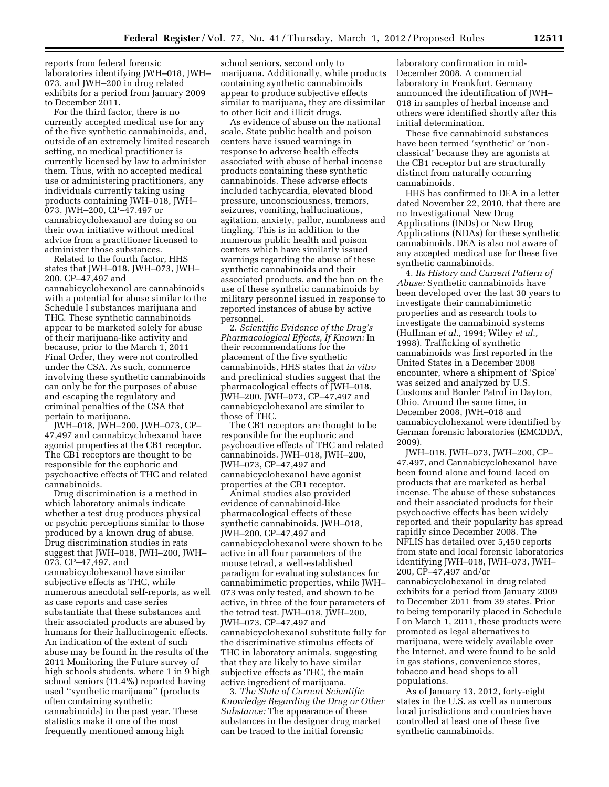reports from federal forensic laboratories identifying JWH–018, JWH– 073, and JWH–200 in drug related exhibits for a period from January 2009 to December 2011.

For the third factor, there is no currently accepted medical use for any of the five synthetic cannabinoids, and, outside of an extremely limited research setting, no medical practitioner is currently licensed by law to administer them. Thus, with no accepted medical use or administering practitioners, any individuals currently taking using products containing JWH–018, JWH– 073, JWH–200, CP–47,497 or cannabicyclohexanol are doing so on their own initiative without medical advice from a practitioner licensed to administer those substances.

Related to the fourth factor, HHS states that JWH–018, JWH–073, JWH– 200, CP–47,497 and cannabicyclohexanol are cannabinoids with a potential for abuse similar to the Schedule I substances marijuana and THC. These synthetic cannabinoids appear to be marketed solely for abuse of their marijuana-like activity and because, prior to the March 1, 2011 Final Order, they were not controlled under the CSA. As such, commerce involving these synthetic cannabinoids can only be for the purposes of abuse and escaping the regulatory and criminal penalties of the CSA that pertain to marijuana.

JWH–018, JWH–200, JWH–073, CP– 47,497 and cannabicyclohexanol have agonist properties at the CB1 receptor. The CB1 receptors are thought to be responsible for the euphoric and psychoactive effects of THC and related cannabinoids.

Drug discrimination is a method in which laboratory animals indicate whether a test drug produces physical or psychic perceptions similar to those produced by a known drug of abuse. Drug discrimination studies in rats suggest that JWH–018, JWH–200, JWH– 073, CP–47,497, and cannabicyclohexanol have similar subjective effects as THC, while numerous anecdotal self-reports, as well as case reports and case series substantiate that these substances and their associated products are abused by humans for their hallucinogenic effects. An indication of the extent of such abuse may be found in the results of the 2011 Monitoring the Future survey of high schools students, where 1 in 9 high school seniors (11.4%) reported having used ''synthetic marijuana'' (products often containing synthetic cannabinoids) in the past year. These statistics make it one of the most frequently mentioned among high

school seniors, second only to marijuana. Additionally, while products containing synthetic cannabinoids appear to produce subjective effects similar to marijuana, they are dissimilar to other licit and illicit drugs.

As evidence of abuse on the national scale, State public health and poison centers have issued warnings in response to adverse health effects associated with abuse of herbal incense products containing these synthetic cannabinoids. These adverse effects included tachycardia, elevated blood pressure, unconsciousness, tremors, seizures, vomiting, hallucinations, agitation, anxiety, pallor, numbness and tingling. This is in addition to the numerous public health and poison centers which have similarly issued warnings regarding the abuse of these synthetic cannabinoids and their associated products, and the ban on the use of these synthetic cannabinoids by military personnel issued in response to reported instances of abuse by active personnel.

2. *Scientific Evidence of the Drug's Pharmacological Effects, If Known:* In their recommendations for the placement of the five synthetic cannabinoids, HHS states that *in vitro*  and preclinical studies suggest that the pharmacological effects of JWH–018, JWH–200, JWH–073, CP–47,497 and cannabicyclohexanol are similar to those of THC.

The CB1 receptors are thought to be responsible for the euphoric and psychoactive effects of THC and related cannabinoids. JWH–018, JWH–200, JWH–073, CP–47,497 and cannabicyclohexanol have agonist properties at the CB1 receptor.

Animal studies also provided evidence of cannabinoid-like pharmacological effects of these synthetic cannabinoids. JWH–018, JWH–200, CP–47,497 and cannabicyclohexanol were shown to be active in all four parameters of the mouse tetrad, a well-established paradigm for evaluating substances for cannabimimetic properties, while JWH– 073 was only tested, and shown to be active, in three of the four parameters of the tetrad test. JWH–018, JWH–200, JWH–073, CP–47,497 and cannabicyclohexanol substitute fully for the discriminative stimulus effects of THC in laboratory animals, suggesting that they are likely to have similar subjective effects as THC, the main active ingredient of marijuana.

3. *The State of Current Scientific Knowledge Regarding the Drug or Other Substance:* The appearance of these substances in the designer drug market can be traced to the initial forensic

laboratory confirmation in mid-December 2008. A commercial laboratory in Frankfurt, Germany announced the identification of JWH– 018 in samples of herbal incense and others were identified shortly after this initial determination.

These five cannabinoid substances have been termed 'synthetic' or 'nonclassical' because they are agonists at the CB1 receptor but are structurally distinct from naturally occurring cannabinoids.

HHS has confirmed to DEA in a letter dated November 22, 2010, that there are no Investigational New Drug Applications (INDs) or New Drug Applications (NDAs) for these synthetic cannabinoids. DEA is also not aware of any accepted medical use for these five synthetic cannabinoids.

4. *Its History and Current Pattern of Abuse:* Synthetic cannabinoids have been developed over the last 30 years to investigate their cannabimimetic properties and as research tools to investigate the cannabinoid systems (Huffman *et al.,* 1994; Wiley *et al.,*  1998). Trafficking of synthetic cannabinoids was first reported in the United States in a December 2008 encounter, where a shipment of 'Spice' was seized and analyzed by U.S. Customs and Border Patrol in Dayton, Ohio. Around the same time, in December 2008, JWH–018 and cannabicyclohexanol were identified by German forensic laboratories (EMCDDA, 2009).

JWH–018, JWH–073, JWH–200, CP– 47,497, and Cannabicyclohexanol have been found alone and found laced on products that are marketed as herbal incense. The abuse of these substances and their associated products for their psychoactive effects has been widely reported and their popularity has spread rapidly since December 2008. The NFLIS has detailed over 5,450 reports from state and local forensic laboratories identifying JWH–018, JWH–073, JWH– 200, CP–47,497 and/or cannabicyclohexanol in drug related exhibits for a period from January 2009 to December 2011 from 39 states. Prior to being temporarily placed in Schedule I on March 1, 2011, these products were promoted as legal alternatives to marijuana, were widely available over the Internet, and were found to be sold in gas stations, convenience stores, tobacco and head shops to all populations.

As of January 13, 2012, forty-eight states in the U.S. as well as numerous local jurisdictions and countries have controlled at least one of these five synthetic cannabinoids.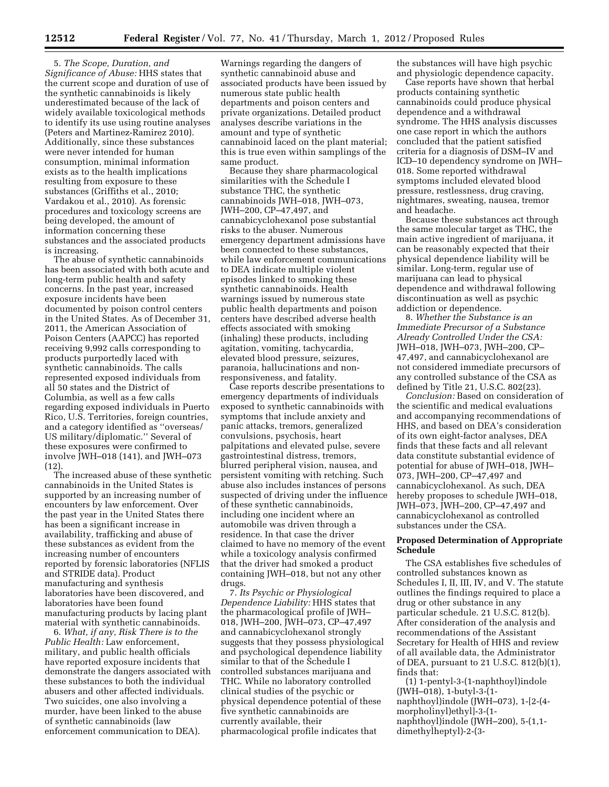5. *The Scope, Duration, and Significance of Abuse:* HHS states that the current scope and duration of use of the synthetic cannabinoids is likely underestimated because of the lack of widely available toxicological methods to identify its use using routine analyses (Peters and Martinez-Ramirez 2010). Additionally, since these substances were never intended for human consumption, minimal information exists as to the health implications resulting from exposure to these substances (Griffiths et al., 2010; Vardakou et al., 2010). As forensic procedures and toxicology screens are being developed, the amount of information concerning these substances and the associated products is increasing.

The abuse of synthetic cannabinoids has been associated with both acute and long-term public health and safety concerns. In the past year, increased exposure incidents have been documented by poison control centers in the United States. As of December 31, 2011, the American Association of Poison Centers (AAPCC) has reported receiving 9,992 calls corresponding to products purportedly laced with synthetic cannabinoids. The calls represented exposed individuals from all 50 states and the District of Columbia, as well as a few calls regarding exposed individuals in Puerto Rico, U.S. Territories, foreign countries, and a category identified as ''overseas/ US military/diplomatic.'' Several of these exposures were confirmed to involve JWH–018 (141), and JWH–073 (12).

The increased abuse of these synthetic cannabinoids in the United States is supported by an increasing number of encounters by law enforcement. Over the past year in the United States there has been a significant increase in availability, trafficking and abuse of these substances as evident from the increasing number of encounters reported by forensic laboratories (NFLIS and STRIDE data). Product manufacturing and synthesis laboratories have been discovered, and laboratories have been found manufacturing products by lacing plant material with synthetic cannabinoids.

6. *What, if any, Risk There is to the Public Health:* Law enforcement, military, and public health officials have reported exposure incidents that demonstrate the dangers associated with these substances to both the individual abusers and other affected individuals. Two suicides, one also involving a murder, have been linked to the abuse of synthetic cannabinoids (law enforcement communication to DEA).

Warnings regarding the dangers of synthetic cannabinoid abuse and associated products have been issued by numerous state public health departments and poison centers and private organizations. Detailed product analyses describe variations in the amount and type of synthetic cannabinoid laced on the plant material; this is true even within samplings of the same product.

Because they share pharmacological similarities with the Schedule I substance THC, the synthetic cannabinoids JWH–018, JWH–073, JWH–200, CP–47,497, and cannabicyclohexanol pose substantial risks to the abuser. Numerous emergency department admissions have been connected to these substances, while law enforcement communications to DEA indicate multiple violent episodes linked to smoking these synthetic cannabinoids. Health warnings issued by numerous state public health departments and poison centers have described adverse health effects associated with smoking (inhaling) these products, including agitation, vomiting, tachycardia, elevated blood pressure, seizures, paranoia, hallucinations and nonresponsiveness, and fatality.

Case reports describe presentations to emergency departments of individuals exposed to synthetic cannabinoids with symptoms that include anxiety and panic attacks, tremors, generalized convulsions, psychosis, heart palpitations and elevated pulse, severe gastrointestinal distress, tremors, blurred peripheral vision, nausea, and persistent vomiting with retching. Such abuse also includes instances of persons suspected of driving under the influence of these synthetic cannabinoids, including one incident where an automobile was driven through a residence. In that case the driver claimed to have no memory of the event while a toxicology analysis confirmed that the driver had smoked a product containing JWH–018, but not any other drugs.

7. *Its Psychic or Physiological Dependence Liability:* HHS states that the pharmacological profile of JWH– 018, JWH–200, JWH–073, CP–47,497 and cannabicyclohexanol strongly suggests that they possess physiological and psychological dependence liability similar to that of the Schedule I controlled substances marijuana and THC. While no laboratory controlled clinical studies of the psychic or physical dependence potential of these five synthetic cannabinoids are currently available, their pharmacological profile indicates that

the substances will have high psychic and physiologic dependence capacity.

Case reports have shown that herbal products containing synthetic cannabinoids could produce physical dependence and a withdrawal syndrome. The HHS analysis discusses one case report in which the authors concluded that the patient satisfied criteria for a diagnosis of DSM–IV and ICD–10 dependency syndrome on JWH– 018. Some reported withdrawal symptoms included elevated blood pressure, restlessness, drug craving, nightmares, sweating, nausea, tremor and headache.

Because these substances act through the same molecular target as THC, the main active ingredient of marijuana, it can be reasonably expected that their physical dependence liability will be similar. Long-term, regular use of marijuana can lead to physical dependence and withdrawal following discontinuation as well as psychic addiction or dependence.

8. *Whether the Substance is an Immediate Precursor of a Substance Already Controlled Under the CSA:*  JWH–018, JWH–073, JWH–200, CP– 47,497, and cannabicyclohexanol are not considered immediate precursors of any controlled substance of the CSA as defined by Title 21, U.S.C. 802(23).

*Conclusion:* Based on consideration of the scientific and medical evaluations and accompanying recommendations of HHS, and based on DEA's consideration of its own eight-factor analyses, DEA finds that these facts and all relevant data constitute substantial evidence of potential for abuse of JWH–018, JWH– 073, JWH–200, CP–47,497 and cannabicyclohexanol. As such, DEA hereby proposes to schedule JWH–018, JWH–073, JWH–200, CP–47,497 and cannabicyclohexanol as controlled substances under the CSA.

## **Proposed Determination of Appropriate Schedule**

The CSA establishes five schedules of controlled substances known as Schedules I, II, III, IV, and V. The statute outlines the findings required to place a drug or other substance in any particular schedule. 21 U.S.C. 812(b). After consideration of the analysis and recommendations of the Assistant Secretary for Health of HHS and review of all available data, the Administrator of DEA, pursuant to 21 U.S.C. 812(b)(1), finds that:

(1) 1-pentyl-3-(1-naphthoyl)indole (JWH–018), 1-butyl-3-(1 naphthoyl)indole (JWH–073), 1-[2-(4 morpholinyl)ethyl]-3-(1 naphthoyl)indole (JWH–200), 5-(1,1 dimethylheptyl)-2-(3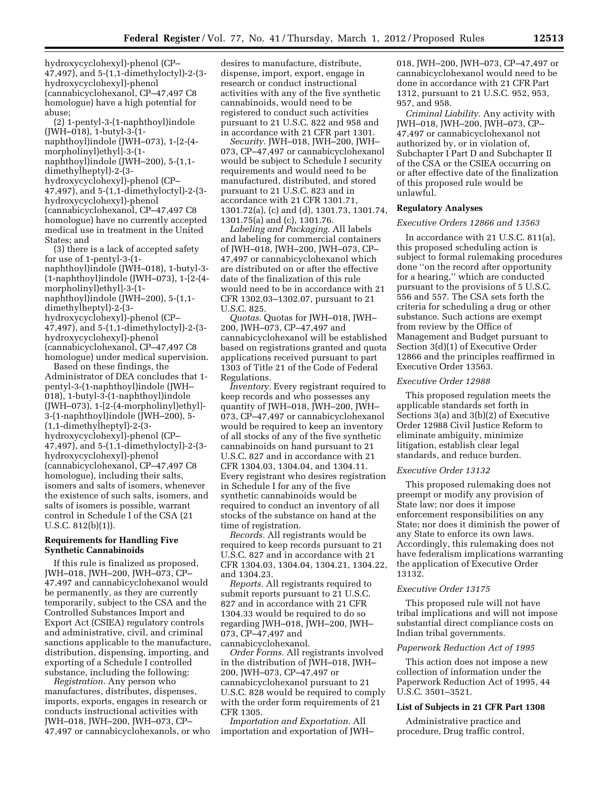hydroxycyclohexyl)-phenol (CP– 47,497), and 5-(1,1-dimethyloctyl)-2-(3 hydroxycyclohexyl)-phenol (cannabicyclohexanol, CP–47,497 C8 homologue) have a high potential for abuse;

(2) 1-pentyl-3-(1-naphthoyl)indole (JWH–018), 1-butyl-3-(1 naphthoyl)indole (JWH–073), 1-[2-(4 morpholinyl)ethyl]-3-(1-

naphthoyl)indole (JWH–200), 5-(1,1-

dimethylheptyl)-2-(3-

hydroxycyclohexyl)-phenol (CP– 47,497), and 5-(1,1-dimethyloctyl)-2-(3 hydroxycyclohexyl)-phenol (cannabicyclohexanol, CP–47,497 C8 homologue) have no currently accepted medical use in treatment in the United States; and

(3) there is a lack of accepted safety for use of 1-pentyl-3-(1 naphthoyl)indole (JWH–018), 1-butyl-3- (1-naphthoyl)indole (JWH–073), 1-[2-(4 morpholinyl)ethyl]-3-(1 naphthoyl)indole (JWH–200), 5-(1,1 dimethylheptyl)-2-(3 hydroxycyclohexyl)-phenol (CP–

47,497), and 5-(1,1-dimethyloctyl)-2-(3 hydroxycyclohexyl)-phenol (cannabicyclohexanol, CP–47,497 C8 homologue) under medical supervision.

Based on these findings, the Administrator of DEA concludes that 1 pentyl-3-(1-naphthoyl)indole (JWH– 018), 1-butyl-3-(1-naphthoyl)indole (JWH–073), 1-[2-(4-morpholinyl)ethyl]- 3-(1-naphthoyl)indole (JWH–200), 5- (1,1-dimethylheptyl)-2-(3 hydroxycyclohexyl)-phenol (CP– 47,497), and 5-(1,1-dimethyloctyl)-2-(3 hydroxycyclohexyl)-phenol (cannabicyclohexanol, CP–47,497 C8 homologue), including their salts, isomers and salts of isomers, whenever the existence of such salts, isomers, and salts of isomers is possible, warrant control in Schedule I of the CSA (21 U.S.C. 812(b)(1)).

## **Requirements for Handling Five Synthetic Cannabinoids**

If this rule is finalized as proposed, JWH–018, JWH–200, JWH–073, CP– 47,497 and cannabicyclohexanol would be permanently, as they are currently temporarily, subject to the CSA and the Controlled Substances Import and Export Act (CSIEA) regulatory controls and administrative, civil, and criminal sanctions applicable to the manufacture, distribution, dispensing, importing, and exporting of a Schedule I controlled substance, including the following:

*Registration.* Any person who manufactures, distributes, dispenses, imports, exports, engages in research or conducts instructional activities with JWH–018, JWH–200, JWH–073, CP– 47,497 or cannabicyclohexanols, or who desires to manufacture, distribute, dispense, import, export, engage in research or conduct instructional activities with any of the five synthetic cannabinoids, would need to be registered to conduct such activities pursuant to 21 U.S.C. 822 and 958 and in accordance with 21 CFR part 1301.

*Security.* JWH–018, JWH–200, JWH– 073, CP–47,497 or cannabicyclohexanol would be subject to Schedule I security requirements and would need to be manufactured, distributed, and stored pursuant to 21 U.S.C. 823 and in accordance with 21 CFR 1301.71, 1301.72(a), (c) and (d), 1301.73, 1301.74, 1301.75(a) and (c), 1301.76.

*Labeling and Packaging.* All labels and labeling for commercial containers of JWH–018, JWH–200, JWH–073, CP– 47,497 or cannabicyclohexanol which are distributed on or after the effective date of the finalization of this rule would need to be in accordance with 21 CFR 1302.03–1302.07, pursuant to 21 U.S.C. 825.

*Quotas.* Quotas for JWH–018, JWH– 200, JWH–073, CP–47,497 and cannabicyclohexanol will be established based on registrations granted and quota applications received pursuant to part 1303 of Title 21 of the Code of Federal Regulations.

*Inventory.* Every registrant required to keep records and who possesses any quantity of JWH–018, JWH–200, JWH– 073, CP–47,497 or cannabicyclohexanol would be required to keep an inventory of all stocks of any of the five synthetic cannabinoids on hand pursuant to 21 U.S.C. 827 and in accordance with 21 CFR 1304.03, 1304.04, and 1304.11. Every registrant who desires registration in Schedule I for any of the five synthetic cannabinoids would be required to conduct an inventory of all stocks of the substance on hand at the time of registration.

*Records.* All registrants would be required to keep records pursuant to 21 U.S.C. 827 and in accordance with 21 CFR 1304.03, 1304.04, 1304.21, 1304.22, and 1304.23.

*Reports.* All registrants required to submit reports pursuant to 21 U.S.C. 827 and in accordance with 21 CFR 1304.33 would be required to do so regarding JWH–018, JWH–200, JWH– 073, CP–47,497 and cannabicyclohexanol.

*Order Forms.* All registrants involved in the distribution of JWH–018, JWH– 200, JWH–073, CP–47,497 or cannabicyclohexanol pursuant to 21 U.S.C. 828 would be required to comply with the order form requirements of 21 CFR 1305.

*Importation and Exportation.* All importation and exportation of JWH– 018, JWH–200, JWH–073, CP–47,497 or cannabicyclohexanol would need to be done in accordance with 21 CFR Part 1312, pursuant to 21 U.S.C. 952, 953, 957, and 958.

*Criminal Liability.* Any activity with JWH–018, JWH–200, JWH–073, CP– 47,497 or cannabicyclohexanol not authorized by, or in violation of, Subchapter I Part D and Subchapter II of the CSA or the CSIEA occurring on or after effective date of the finalization of this proposed rule would be unlawful.

## **Regulatory Analyses**

### *Executive Orders 12866 and 13563*

In accordance with 21 U.S.C. 811(a), this proposed scheduling action is subject to formal rulemaking procedures done ''on the record after opportunity for a hearing,'' which are conducted pursuant to the provisions of 5 U.S.C. 556 and 557. The CSA sets forth the criteria for scheduling a drug or other substance. Such actions are exempt from review by the Office of Management and Budget pursuant to Section 3(d)(1) of Executive Order 12866 and the principles reaffirmed in Executive Order 13563.

## *Executive Order 12988*

This proposed regulation meets the applicable standards set forth in Sections 3(a) and 3(b)(2) of Executive Order 12988 Civil Justice Reform to eliminate ambiguity, minimize litigation, establish clear legal standards, and reduce burden.

### *Executive Order 13132*

This proposed rulemaking does not preempt or modify any provision of State law; nor does it impose enforcement responsibilities on any State; nor does it diminish the power of any State to enforce its own laws. Accordingly, this rulemaking does not have federalism implications warranting the application of Executive Order 13132.

#### *Executive Order 13175*

This proposed rule will not have tribal implications and will not impose substantial direct compliance costs on Indian tribal governments.

#### *Paperwork Reduction Act of 1995*

This action does not impose a new collection of information under the Paperwork Reduction Act of 1995, 44 U.S.C. 3501–3521.

### **List of Subjects in 21 CFR Part 1308**

Administrative practice and procedure, Drug traffic control,